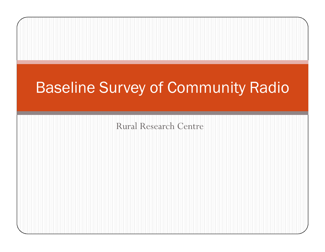## Rural Research CentreBaseline Survey of Community Radio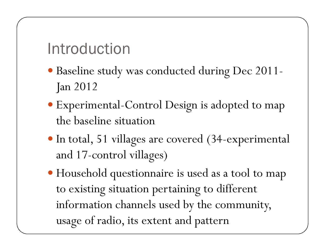Introduction

- Baseline study was conducted during Dec 2011- Jan 2012
- Experimental-Control Design is adopted to map the baseline situation
- In total, 51 villages are covered (34-experimental and 17-control villages)
- Household questionnaire is used as a tool to map to existing situation pertaining to different information channels used by the community, usage of radio, its extent and pattern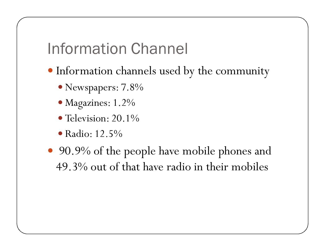Information Channel

- Information channels used by the community
	- Newspapers: 7.8%
	- Magazines: 1.2%
	- Television: 20.1%
	- Radio: 12.5%
- 90.9% of the people have mobile phones and 49.3% out of that have radio in their mobiles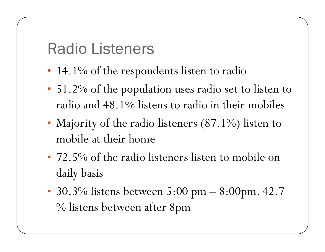Radio Listeners

- 14.1% of the respondents listen to radio
- 51.2% of the population uses radio set to listen toradio and 48.1% listens to radio in their mobiles
- Majority of the radio listeners (87.1%) listen to mobile at their home
- 72.5% of the radio listeners listen to mobile on daily basis
- 30.3% listens between  $5:00 \text{ pm} 8:00 \text{ pm}$ . 42.7 % listens between after 8pm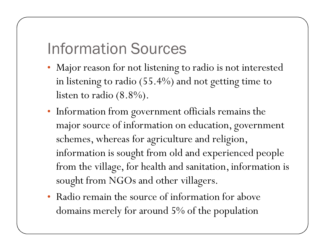## Information Sources

- Major reason for not listening to radio is not interested in listening to radio (55.4%) and not getting time to listen to radio (8.8%).
- Information from government officials remains the major source of information on education, government schemes, whereas for agriculture and religion, information is sought from old and experienced people from the village, for health and sanitation, information is sought from NGOs and other villagers.
- Radio remain the source of information for above domains merely for around 5% of the population